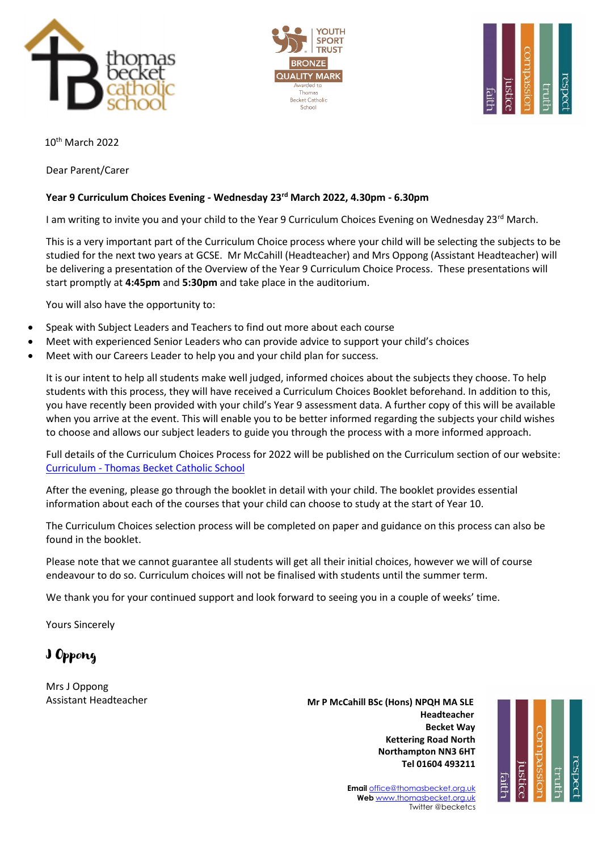





10th March 2022

Dear Parent/Carer

## **Year 9 Curriculum Choices Evening - Wednesday 23 rd March 2022, 4.30pm - 6.30pm**

I am writing to invite you and your child to the Year 9 Curriculum Choices Evening on Wednesday 23rd March.

This is a very important part of the Curriculum Choice process where your child will be selecting the subjects to be studied for the next two years at GCSE. Mr McCahill (Headteacher) and Mrs Oppong (Assistant Headteacher) will be delivering a presentation of the Overview of the Year 9 Curriculum Choice Process. These presentations will start promptly at **4:45pm** and **5:30pm** and take place in the auditorium.

You will also have the opportunity to:

- Speak with Subject Leaders and Teachers to find out more about each course
- Meet with experienced Senior Leaders who can provide advice to support your child's choices
- Meet with our Careers Leader to help you and your child plan for success.

It is our intent to help all students make well judged, informed choices about the subjects they choose. To help students with this process, they will have received a Curriculum Choices Booklet beforehand. In addition to this, you have recently been provided with your child's Year 9 assessment data. A further copy of this will be available when you arrive at the event. This will enable you to be better informed regarding the subjects your child wishes to choose and allows our subject leaders to guide you through the process with a more informed approach.

Full details of the Curriculum Choices Process for 2022 will be published on the Curriculum section of our website: Curriculum - [Thomas Becket Catholic School](https://www.thomasbecket.org.uk/curriculum)

After the evening, please go through the booklet in detail with your child. The booklet provides essential information about each of the courses that your child can choose to study at the start of Year 10.

The Curriculum Choices selection process will be completed on paper and guidance on this process can also be found in the booklet.

Please note that we cannot guarantee all students will get all their initial choices, however we will of course endeavour to do so. Curriculum choices will not be finalised with students until the summer term.

We thank you for your continued support and look forward to seeing you in a couple of weeks' time.

Yours Sincerely

J Oppong

Mrs J Oppong Assistant Headteacher

 **Mr P McCahill BSc (Hons) NPQH MA SLE** با المستخدم المستخدم المستخدم المستخدم المستخدم المستخدم المستخدم المستخدم المستخدم المستخدم المستخدم المستخدم ا **Becket Way Kettering Road North Northampton NN3 6HT Tel 01604 493211**



**Email** [office@thomasbecket.org.uk](mailto:office@thomasbecket.org.uk) **Web** [www.thomasbecket.org.uk](http://www.thomasbecket.org.uk/) Twitter @becketcs